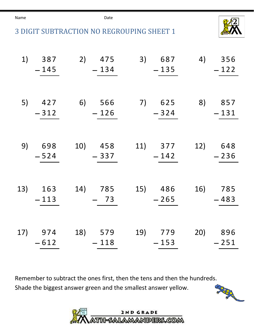Name **Date Date** 





| 1) | 387<br>$-145$     | 2) 475<br>$-134$  | 3) 687<br>$-135$  | 4) 356<br>$-122$  |
|----|-------------------|-------------------|-------------------|-------------------|
| 5) | 427<br>$-312$     | 6) 566<br>$-126$  | 7) 625<br>$-324$  | 8) 857<br>$-131$  |
|    | 9) 698<br>$-524$  | 10) 458<br>$-337$ | 11) 377<br>$-142$ | 12) 648<br>$-236$ |
|    | 13) 163<br>$-113$ | 14) 785<br>$-73$  | 15) 486<br>$-265$ | 16) 785<br>$-483$ |
|    | 17) 974<br>$-612$ | 18) 579<br>$-118$ | 19) 779<br>$-153$ | 20) 896<br>$-251$ |

Remember to subtract the ones first, then the tens and then the hundreds. Shade the biggest answer green and the smallest answer yellow.